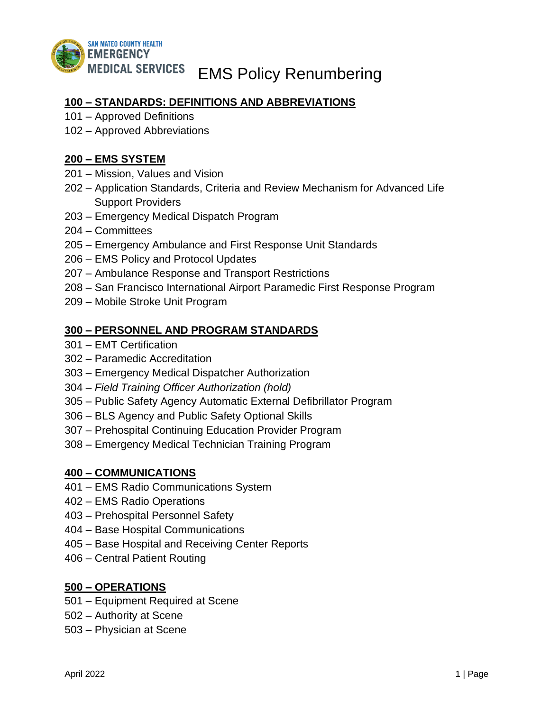

## **100 – STANDARDS: DEFINITIONS AND ABBREVIATIONS**

- 101 Approved Definitions
- 102 Approved Abbreviations

### **200 – EMS SYSTEM**

- 201 Mission, Values and Vision
- 202 Application Standards, Criteria and Review Mechanism for Advanced Life Support Providers
- 203 Emergency Medical Dispatch Program
- 204 Committees
- 205 Emergency Ambulance and First Response Unit Standards
- 206 EMS Policy and Protocol Updates
- 207 Ambulance Response and Transport Restrictions
- 208 San Francisco International Airport Paramedic First Response Program
- 209 Mobile Stroke Unit Program

### **300 – PERSONNEL AND PROGRAM STANDARDS**

- 301 EMT Certification
- 302 Paramedic Accreditation
- 303 Emergency Medical Dispatcher Authorization
- 304 *Field Training Officer Authorization (hold)*
- 305 Public Safety Agency Automatic External Defibrillator Program
- 306 BLS Agency and Public Safety Optional Skills
- 307 Prehospital Continuing Education Provider Program
- 308 Emergency Medical Technician Training Program

### **400 – COMMUNICATIONS**

- 401 EMS Radio Communications System
- 402 EMS Radio Operations
- 403 Prehospital Personnel Safety
- 404 Base Hospital Communications
- 405 Base Hospital and Receiving Center Reports
- 406 Central Patient Routing

### **500 – OPERATIONS**

- 501 Equipment Required at Scene
- 502 Authority at Scene
- 503 Physician at Scene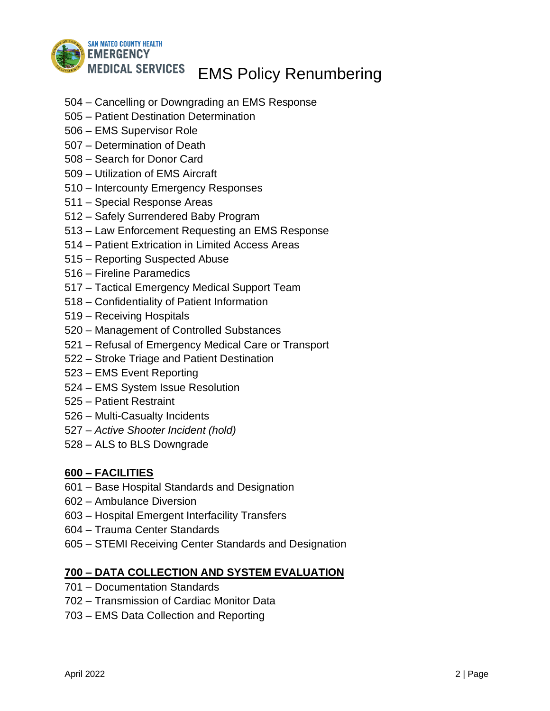

- Cancelling or Downgrading an EMS Response
- Patient Destination Determination
- EMS Supervisor Role
- Determination of Death
- Search for Donor Card
- Utilization of EMS Aircraft
- Intercounty Emergency Responses
- Special Response Areas
- Safely Surrendered Baby Program
- Law Enforcement Requesting an EMS Response
- Patient Extrication in Limited Access Areas
- Reporting Suspected Abuse
- Fireline Paramedics
- Tactical Emergency Medical Support Team
- Confidentiality of Patient Information
- Receiving Hospitals
- Management of Controlled Substances
- Refusal of Emergency Medical Care or Transport
- Stroke Triage and Patient Destination
- EMS Event Reporting
- EMS System Issue Resolution
- Patient Restraint
- Multi-Casualty Incidents
- *– Active Shooter Incident (hold)*
- *–* ALS to BLS Downgrade

## **– FACILITIES**

- 601 Base Hospital Standards and Designation
- 602 Ambulance Diversion
- 603 Hospital Emergent Interfacility Transfers
- 604 Trauma Center Standards
- 605 STEMI Receiving Center Standards and Designation

## **– DATA COLLECTION AND SYSTEM EVALUATION**

- 701 Documentation Standards
- 702 Transmission of Cardiac Monitor Data
- 703 EMS Data Collection and Reporting